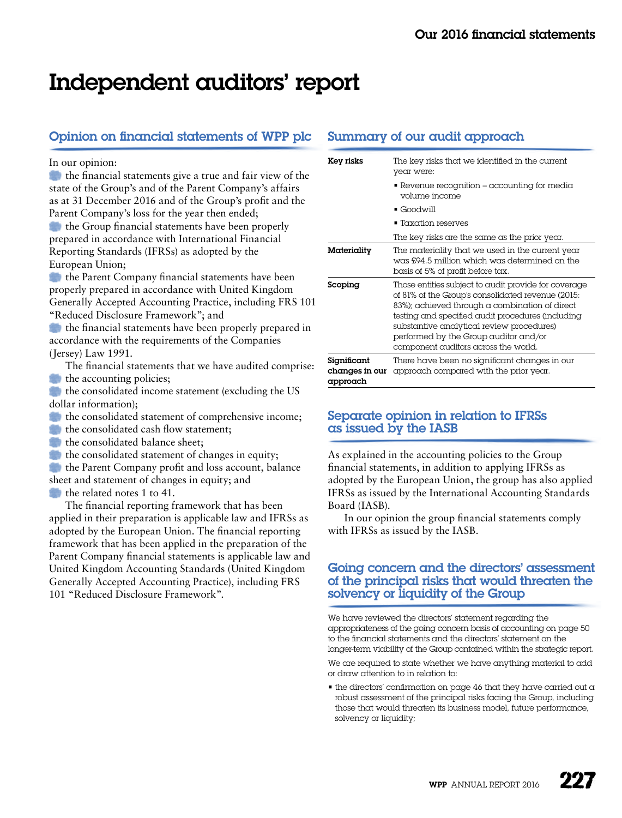# Independent auditors' report

# Opinion on financial statements of WPP plc

#### In our opinion:

the financial statements give a true and fair view of the state of the Group's and of the Parent Company's affairs as at 31 December 2016 and of the Group's profit and the Parent Company's loss for the year then ended; the Group financial statements have been properly prepared in accordance with International Financial Reporting Standards (IFRSs) as adopted by the European Union;

the Parent Company financial statements have been properly prepared in accordance with United Kingdom Generally Accepted Accounting Practice, including FRS 101 "Reduced Disclosure Framework"; and

**the financial statements have been properly prepared in** accordance with the requirements of the Companies (Jersey) Law 1991.

The financial statements that we have audited comprise:  $\bullet$  the accounting policies;

the consolidated income statement (excluding the US dollar information);

the consolidated statement of comprehensive income;

the consolidated cash flow statement:

- the consolidated balance sheet;
- $\bullet$  the consolidated statement of changes in equity;

the Parent Company profit and loss account, balance sheet and statement of changes in equity; and

the related notes 1 to 41.

The financial reporting framework that has been applied in their preparation is applicable law and IFRSs as adopted by the European Union. The financial reporting framework that has been applied in the preparation of the Parent Company financial statements is applicable law and United Kingdom Accounting Standards (United Kingdom Generally Accepted Accounting Practice), including FRS 101 "Reduced Disclosure Framework".

## Summary of our audit approach

| Key risks                                 | The key risks that we identified in the current<br>year were:                                                                                                                                                                                                                                                                                      |
|-------------------------------------------|----------------------------------------------------------------------------------------------------------------------------------------------------------------------------------------------------------------------------------------------------------------------------------------------------------------------------------------------------|
|                                           | $\blacksquare$ Revenue recognition – accounting for media<br>volume income                                                                                                                                                                                                                                                                         |
|                                           | $\blacksquare$ Goodwill                                                                                                                                                                                                                                                                                                                            |
|                                           | $\blacksquare$ Taxation reserves                                                                                                                                                                                                                                                                                                                   |
|                                           | The key risks are the same as the prior year.                                                                                                                                                                                                                                                                                                      |
| Materiality                               | The materiality that we used in the current year<br>was £94.5 million which was determined on the<br>basis of 5% of profit before tax.                                                                                                                                                                                                             |
| Scoping                                   | Those entities subject to audit provide for coverage<br>of 81% of the Group's consolidated revenue (2015:<br>$83\%)$ ; achieved through a combination of direct<br>testing and specified audit procedures (including<br>substantive analytical review procedures)<br>performed by the Group auditor and/or<br>component auditors across the world. |
| Significant<br>changes in our<br>approach | There have been no significant changes in our<br>approach compared with the prior year.                                                                                                                                                                                                                                                            |

## Separate opinion in relation to IFRSs as issued by the IASB

As explained in the accounting policies to the Group financial statements, in addition to applying IFRSs as adopted by the European Union, the group has also applied IFRSs as issued by the International Accounting Standards Board (IASB).

In our opinion the group financial statements comply with IFRSs as issued by the IASB.

#### Going concern and the directors' assessment of the principal risks that would threaten the solvency or liquidity of the Group

We have reviewed the directors' statement regarding the appropriateness of the going concern basis of accounting on page 50 to the financial statements and the directors' statement on the longer-term viability of the Group contained within the strategic report.

We are required to state whether we have anything material to add or draw attention to in relation to:

 $\blacksquare$  the directors' confirmation on page 46 that they have carried out a robust assessment of the principal risks facing the Group, including those that would threaten its business model, future performance, solvency or liquidity;

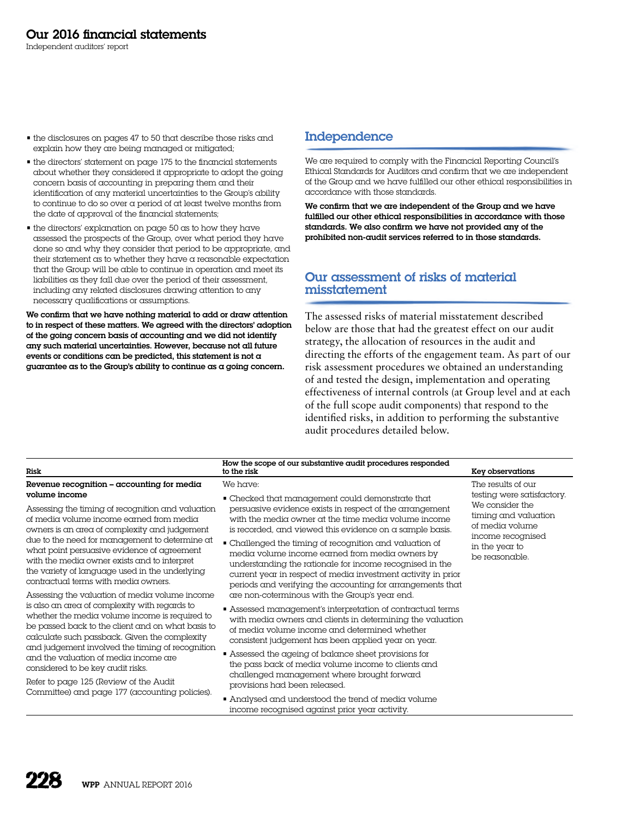Independent auditors' report

- the disclosures on pages 47 to 50 that describe those risks and explain how they are being managed or mitigated;
- the directors' statement on page 175 to the financial statements about whether they considered it appropriate to adopt the going concern basis of accounting in preparing them and their identification of any material uncertainties to the Group's ability to continue to do so over a period of at least twelve months from the date of approval of the financial statements;
- the directors' explanation on page 50 as to how they have assessed the prospects of the Group, over what period they have done so and why they consider that period to be appropriate, and their statement as to whether they have a reasonable expectation that the Group will be able to continue in operation and meet its liabilities as they fall due over the period of their assessment, including any related disclosures drawing attention to any necessary qualifications or assumptions.

We confirm that we have nothing material to add or draw attention to in respect of these matters. We agreed with the directors' adoption of the going concern basis of accounting and we did not identify any such material uncertainties. However, because not all future events or conditions can be predicted, this statement is not a guarantee as to the Group's ability to continue as a going concern.

# Independence

We are required to comply with the Financial Reporting Council's Ethical Standards for Auditors and confirm that we are independent of the Group and we have fulfilled our other ethical responsibilities in accordance with those standards.

We confirm that we are independent of the Group and we have fulfilled our other ethical responsibilities in accordance with those standards. We also confirm we have not provided any of the prohibited non-audit services referred to in those standards.

## Our assessment of risks of material misstatement

The assessed risks of material misstatement described below are those that had the greatest effect on our audit strategy, the allocation of resources in the audit and directing the efforts of the engagement team. As part of our risk assessment procedures we obtained an understanding of and tested the design, implementation and operating effectiveness of internal controls (at Group level and at each of the full scope audit components) that respond to the identified risks, in addition to performing the substantive audit procedures detailed below.

| <b>Risk</b>                                                                                                                                                                                                                                                                                                                                                                                                                                                                                                                                                                                                                                                                                                                                                                                                                      | How the scope of our substantive audit procedures responded<br>to the risk                                                                                                                                                                                                                                                                                                                                                                                                                                                                                                                                                                                                                                                                                                                                                                                                                                                                                                   | Key observations                                                                                                    |
|----------------------------------------------------------------------------------------------------------------------------------------------------------------------------------------------------------------------------------------------------------------------------------------------------------------------------------------------------------------------------------------------------------------------------------------------------------------------------------------------------------------------------------------------------------------------------------------------------------------------------------------------------------------------------------------------------------------------------------------------------------------------------------------------------------------------------------|------------------------------------------------------------------------------------------------------------------------------------------------------------------------------------------------------------------------------------------------------------------------------------------------------------------------------------------------------------------------------------------------------------------------------------------------------------------------------------------------------------------------------------------------------------------------------------------------------------------------------------------------------------------------------------------------------------------------------------------------------------------------------------------------------------------------------------------------------------------------------------------------------------------------------------------------------------------------------|---------------------------------------------------------------------------------------------------------------------|
| Revenue recognition - accounting for media<br>volume income                                                                                                                                                                                                                                                                                                                                                                                                                                                                                                                                                                                                                                                                                                                                                                      | We have:<br>• Checked that management could demonstrate that                                                                                                                                                                                                                                                                                                                                                                                                                                                                                                                                                                                                                                                                                                                                                                                                                                                                                                                 | The results of our<br>testing were satisfactory.                                                                    |
| Assessing the timing of recognition and valuation<br>of media volume income earned from media<br>owners is an area of complexity and judgement<br>due to the need for management to determine at<br>what point persuasive evidence of agreement<br>with the media owner exists and to interpret<br>the variety of language used in the underlying<br>contractual terms with media owners.<br>Assessing the valuation of media volume income<br>is also an area of complexity with regards to<br>whether the media volume income is required to<br>be passed back to the client and on what basis to<br>calculate such passback. Given the complexity<br>and judgement involved the timing of recognition<br>and the valuation of media income are<br>considered to be key audit risks.<br>Refer to page 125 (Review of the Audit | persuasive evidence exists in respect of the arrangement<br>with the media owner at the time media volume income<br>is recorded, and viewed this evidence on a sample basis.<br>• Challenged the timing of recognition and valuation of<br>media volume income earned from media owners by<br>understanding the rationale for income recognised in the<br>current year in respect of media investment activity in prior<br>periods and verifying the accounting for arrangements that<br>are non-coterminous with the Group's year end.<br>• Assessed management's interpretation of contractual terms<br>with media owners and clients in determining the valuation<br>of media volume income and determined whether<br>consistent judgement has been applied year on year.<br>• Assessed the ageing of balance sheet provisions for<br>the pass back of media volume income to clients and<br>challenged management where brought forward<br>provisions had been released. | We consider the<br>timing and valuation<br>of media volume<br>income recognised<br>in the year to<br>be reasonable. |
| Committee) and page 177 (accounting policies).                                                                                                                                                                                                                                                                                                                                                                                                                                                                                                                                                                                                                                                                                                                                                                                   | • Analysed and understood the trend of media volume<br>income recognised against prior year activity.                                                                                                                                                                                                                                                                                                                                                                                                                                                                                                                                                                                                                                                                                                                                                                                                                                                                        |                                                                                                                     |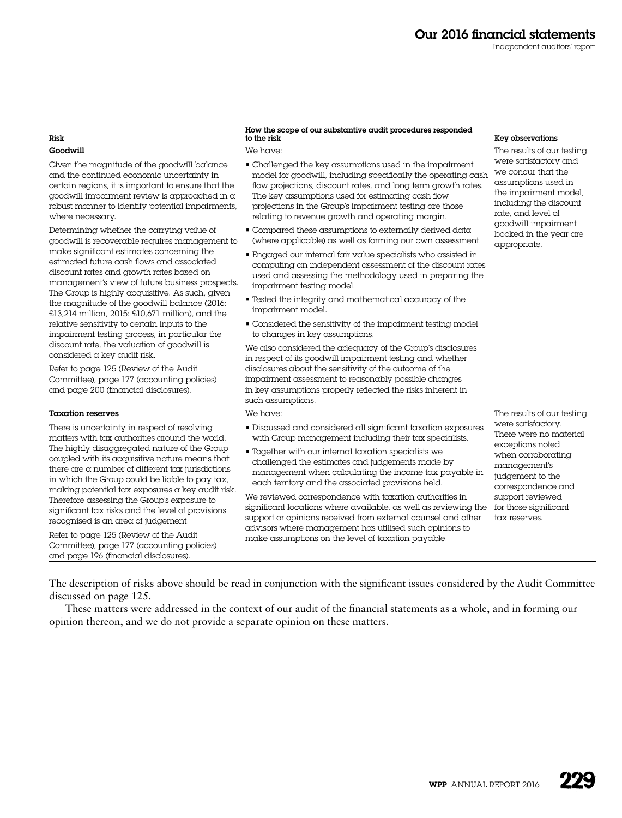## Our 2016 financial statements

Independent auditors' report

| Risk                                                                                                                                                                                                                                                                                                                                                                                                                                                                                                                                                                                                                                             | How the scope of our substantive audit procedures responded<br>to the risk                                                                                                                                                                                                                                                                                                                                                                                                                                                                                                                                                                                       | Key observations                                                                                                                                                                                                                           |
|--------------------------------------------------------------------------------------------------------------------------------------------------------------------------------------------------------------------------------------------------------------------------------------------------------------------------------------------------------------------------------------------------------------------------------------------------------------------------------------------------------------------------------------------------------------------------------------------------------------------------------------------------|------------------------------------------------------------------------------------------------------------------------------------------------------------------------------------------------------------------------------------------------------------------------------------------------------------------------------------------------------------------------------------------------------------------------------------------------------------------------------------------------------------------------------------------------------------------------------------------------------------------------------------------------------------------|--------------------------------------------------------------------------------------------------------------------------------------------------------------------------------------------------------------------------------------------|
| Goodwill                                                                                                                                                                                                                                                                                                                                                                                                                                                                                                                                                                                                                                         | We have:                                                                                                                                                                                                                                                                                                                                                                                                                                                                                                                                                                                                                                                         | The results of our testing<br>were satisfactory and<br>we concur that the<br>assumptions used in<br>the impairment model,<br>including the discount<br>rate, and level of<br>goodwill impairment<br>booked in the year are<br>appropriate. |
| Given the magnitude of the goodwill balance<br>and the continued economic uncertainty in<br>certain regions, it is important to ensure that the<br>goodwill impairment review is approached in $\alpha$<br>robust manner to identify potential impairments,<br>where necessary.                                                                                                                                                                                                                                                                                                                                                                  | • Challenged the key assumptions used in the impairment<br>model for goodwill, including specifically the operating cash<br>flow projections, discount rates, and long term growth rates.<br>The key assumptions used for estimating cash flow<br>projections in the Group's impairment testing are those<br>relating to revenue growth and operating margin.                                                                                                                                                                                                                                                                                                    |                                                                                                                                                                                                                                            |
| Determining whether the carrying value of<br>goodwill is recoverable requires management to                                                                                                                                                                                                                                                                                                                                                                                                                                                                                                                                                      | • Compared these assumptions to externally derived data<br>(where applicable) as well as forming our own assessment.                                                                                                                                                                                                                                                                                                                                                                                                                                                                                                                                             |                                                                                                                                                                                                                                            |
| make significant estimates concerning the<br>estimated future cash flows and associated<br>discount rates and growth rates based on<br>management's view of future business prospects.<br>The Group is highly acquisitive. As such, given                                                                                                                                                                                                                                                                                                                                                                                                        | • Engaged our internal fair value specialists who assisted in<br>computing an independent assessment of the discount rates<br>used and assessing the methodology used in preparing the<br>impairment testing model.                                                                                                                                                                                                                                                                                                                                                                                                                                              |                                                                                                                                                                                                                                            |
| the magnitude of the goodwill balance (2016:<br>£13,214 million, 2015: £10,671 million), and the                                                                                                                                                                                                                                                                                                                                                                                                                                                                                                                                                 | • Tested the integrity and mathematical accuracy of the<br>impairment model.                                                                                                                                                                                                                                                                                                                                                                                                                                                                                                                                                                                     |                                                                                                                                                                                                                                            |
| relative sensitivity to certain inputs to the<br>impairment testing process, in particular the                                                                                                                                                                                                                                                                                                                                                                                                                                                                                                                                                   | • Considered the sensitivity of the impairment testing model<br>to changes in key assumptions.                                                                                                                                                                                                                                                                                                                                                                                                                                                                                                                                                                   |                                                                                                                                                                                                                                            |
| discount rate, the valuation of goodwill is<br>considered a key audit risk.                                                                                                                                                                                                                                                                                                                                                                                                                                                                                                                                                                      | We also considered the adequacy of the Group's disclosures<br>in respect of its goodwill impairment testing and whether                                                                                                                                                                                                                                                                                                                                                                                                                                                                                                                                          |                                                                                                                                                                                                                                            |
| Refer to page 125 (Review of the Audit<br>Committee), page 177 (accounting policies)<br>and page 200 (financial disclosures).                                                                                                                                                                                                                                                                                                                                                                                                                                                                                                                    | disclosures about the sensitivity of the outcome of the<br>impairment assessment to reasonably possible changes<br>in key assumptions properly reflected the risks inherent in<br>such assumptions.                                                                                                                                                                                                                                                                                                                                                                                                                                                              |                                                                                                                                                                                                                                            |
| <b>Taxation reserves</b>                                                                                                                                                                                                                                                                                                                                                                                                                                                                                                                                                                                                                         | We have:                                                                                                                                                                                                                                                                                                                                                                                                                                                                                                                                                                                                                                                         | The results of our testing                                                                                                                                                                                                                 |
| There is uncertainty in respect of resolving<br>matters with tax authorities around the world.<br>The highly disaggregated nature of the Group<br>coupled with its acquisitive nature means that<br>there are a number of different $\text{tax}$ jurisdictions<br>in which the Group could be liable to pay tax,<br>making potential tax exposures a key audit risk.<br>Therefore assessing the Group's exposure to<br>significant tax risks and the level of provisions<br>recognised is an area of judgement.<br>Refer to page 125 (Review of the Audit<br>Committee), page 177 (accounting policies)<br>and page 196 (financial disclosures). | · Discussed and considered all significant taxation exposures<br>with Group management including their tax specialists.<br>• Together with our internal taxation specialists we<br>challenged the estimates and judgements made by<br>management when calculating the income tax payable in<br>each territory and the associated provisions held.<br>We reviewed correspondence with taxation authorities in<br>significant locations where available, as well as reviewing the<br>support or opinions received from external counsel and other<br>advisors where management has utilised such opinions to<br>make assumptions on the level of taxation payable. | were satisfactory.<br>There were no material<br>exceptions noted<br>when corroborating<br>management's<br>judgement to the<br>correspondence and<br>support reviewed<br>for those significant<br>tax reserves.                             |

The description of risks above should be read in conjunction with the significant issues considered by the Audit Committee discussed on page 125.

These matters were addressed in the context of our audit of the financial statements as a whole, and in forming our opinion thereon, and we do not provide a separate opinion on these matters.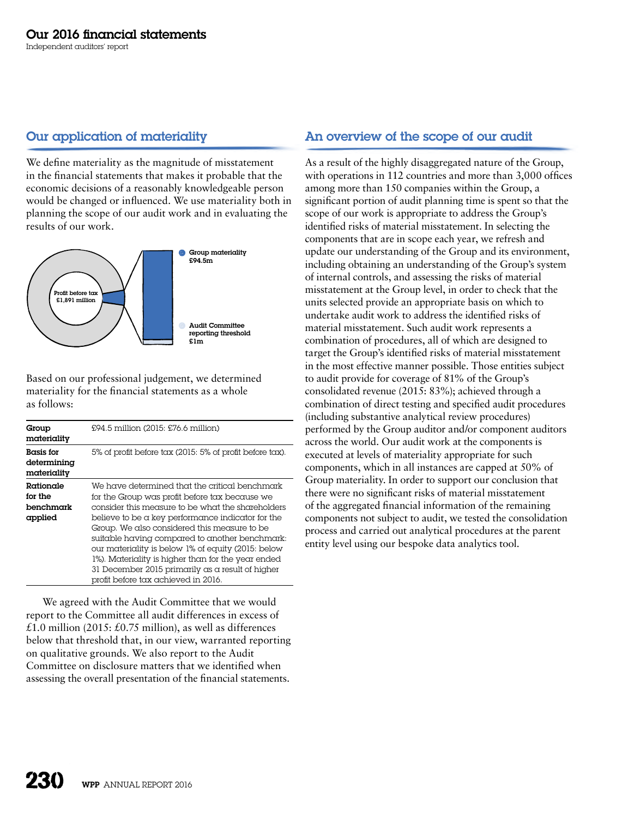# Our application of materiality

We define materiality as the magnitude of misstatement in the financial statements that makes it probable that the economic decisions of a reasonably knowledgeable person would be changed or influenced. We use materiality both in planning the scope of our audit work and in evaluating the results of our work.



Based on our professional judgement, we determined materiality for the financial statements as a whole as follows:

| Group<br>materiality                           | £94.5 million (2015: £76.6 million)                                                                                                                                                                                                                                                                                                                                                                                                                                                                                 |
|------------------------------------------------|---------------------------------------------------------------------------------------------------------------------------------------------------------------------------------------------------------------------------------------------------------------------------------------------------------------------------------------------------------------------------------------------------------------------------------------------------------------------------------------------------------------------|
| <b>Basis for</b><br>determining<br>materiality | 5% of profit before tax (2015: 5% of profit before tax).                                                                                                                                                                                                                                                                                                                                                                                                                                                            |
| Rationale<br>for the<br>benchmark<br>applied   | We have determined that the critical benchmark<br>for the Group was profit before tax because we<br>consider this measure to be what the shareholders<br>believe to be a key performance indicator for the<br>Group. We also considered this measure to be<br>suitable having compared to another benchmark:<br>our materiality is below 1% of equity (2015: below<br>1%). Materiality is higher than for the year ended<br>31 December 2015 primarily as a result of higher<br>profit before tax achieved in 2016. |

We agreed with the Audit Committee that we would report to the Committee all audit differences in excess of £1.0 million (2015: £0.75 million), as well as differences below that threshold that, in our view, warranted reporting on qualitative grounds. We also report to the Audit Committee on disclosure matters that we identified when assessing the overall presentation of the financial statements.

# An overview of the scope of our audit

As a result of the highly disaggregated nature of the Group, with operations in 112 countries and more than 3,000 offices among more than 150 companies within the Group, a significant portion of audit planning time is spent so that the scope of our work is appropriate to address the Group's identified risks of material misstatement. In selecting the components that are in scope each year, we refresh and update our understanding of the Group and its environment, including obtaining an understanding of the Group's system of internal controls, and assessing the risks of material misstatement at the Group level, in order to check that the units selected provide an appropriate basis on which to undertake audit work to address the identified risks of material misstatement. Such audit work represents a combination of procedures, all of which are designed to target the Group's identified risks of material misstatement in the most effective manner possible. Those entities subject to audit provide for coverage of 81% of the Group's consolidated revenue (2015: 83%); achieved through a combination of direct testing and specified audit procedures (including substantive analytical review procedures) performed by the Group auditor and/or component auditors across the world. Our audit work at the components is executed at levels of materiality appropriate for such components, which in all instances are capped at 50% of Group materiality. In order to support our conclusion that there were no significant risks of material misstatement of the aggregated financial information of the remaining components not subject to audit, we tested the consolidation process and carried out analytical procedures at the parent entity level using our bespoke data analytics tool.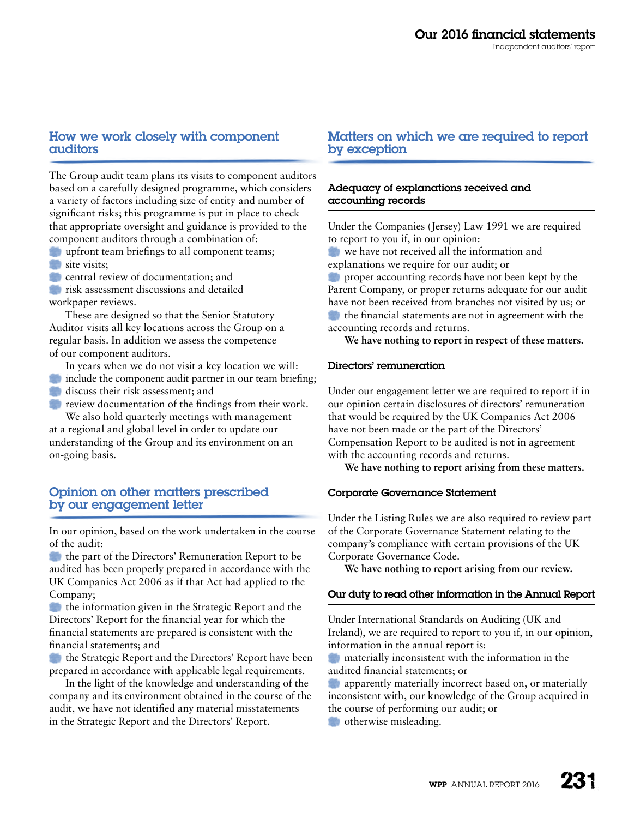#### How we work closely with component auditors

The Group audit team plans its visits to component auditors based on a carefully designed programme, which considers a variety of factors including size of entity and number of significant risks; this programme is put in place to check that appropriate oversight and guidance is provided to the component auditors through a combination of:

**upfront team briefings to all component teams;** site visits;

**C** central review of documentation; and

*risk assessment discussions and detailed* workpaper reviews.

These are designed so that the Senior Statutory Auditor visits all key locations across the Group on a regular basis. In addition we assess the competence of our component auditors.

In years when we do not visit a key location we will:

- include the component audit partner in our team briefing;
- discuss their risk assessment: and

**Figure 1** review documentation of the findings from their work. We also hold quarterly meetings with management

at a regional and global level in order to update our understanding of the Group and its environment on an on-going basis.

# Opinion on other matters prescribed by our engagement letter

In our opinion, based on the work undertaken in the course of the audit:

the part of the Directors' Remuneration Report to be audited has been properly prepared in accordance with the UK Companies Act 2006 as if that Act had applied to the Company;

**the information given in the Strategic Report and the** Directors' Report for the financial year for which the financial statements are prepared is consistent with the financial statements; and

**the Strategic Report and the Directors' Report have been** prepared in accordance with applicable legal requirements.

In the light of the knowledge and understanding of the company and its environment obtained in the course of the audit, we have not identified any material misstatements in the Strategic Report and the Directors' Report.

#### Matters on which we are required to report by exception

#### Adequacy of explanations received and accounting records

Under the Companies (Jersey) Law 1991 we are required to report to you if, in our opinion:

**We have not received all the information and** explanations we require for our audit; or

**proper accounting records have not been kept by the** Parent Company, or proper returns adequate for our audit have not been received from branches not visited by us; or the financial statements are not in agreement with the accounting records and returns.

**We have nothing to report in respect of these matters.**

#### Directors' remuneration

Under our engagement letter we are required to report if in our opinion certain disclosures of directors' remuneration that would be required by the UK Companies Act 2006 have not been made or the part of the Directors' Compensation Report to be audited is not in agreement with the accounting records and returns.

**We have nothing to report arising from these matters.**

#### Corporate Governance Statement

Under the Listing Rules we are also required to review part of the Corporate Governance Statement relating to the company's compliance with certain provisions of the UK Corporate Governance Code.

**We have nothing to report arising from our review.**

#### Our duty to read other information in the Annual Report

Under International Standards on Auditing (UK and Ireland), we are required to report to you if, in our opinion, information in the annual report is:

**M** materially inconsistent with the information in the audited financial statements; or

**apparently materially incorrect based on, or materially** inconsistent with, our knowledge of the Group acquired in the course of performing our audit; or

**otherwise misleading.**